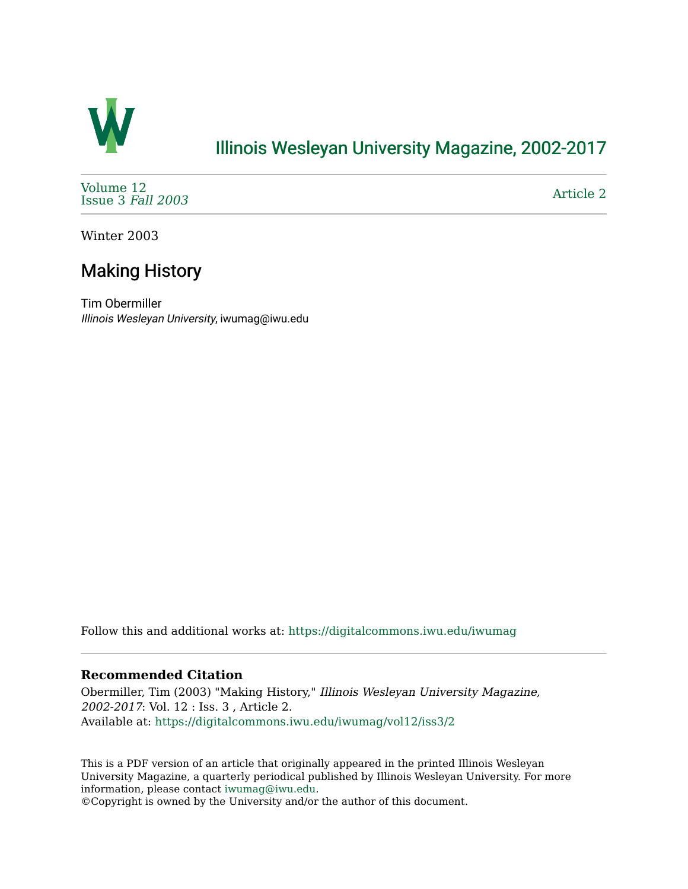

## [Illinois Wesleyan University Magazine, 2002-2017](https://digitalcommons.iwu.edu/iwumag)

[Volume 12](https://digitalcommons.iwu.edu/iwumag/vol12)  [Issue 3](https://digitalcommons.iwu.edu/iwumag/vol12/iss3) Fall 2003

[Article 2](https://digitalcommons.iwu.edu/iwumag/vol12/iss3/2) 

Winter 2003

# Making History

Tim Obermiller Illinois Wesleyan University, iwumag@iwu.edu

Follow this and additional works at: [https://digitalcommons.iwu.edu/iwumag](https://digitalcommons.iwu.edu/iwumag?utm_source=digitalcommons.iwu.edu%2Fiwumag%2Fvol12%2Fiss3%2F2&utm_medium=PDF&utm_campaign=PDFCoverPages) 

#### **Recommended Citation**

Obermiller, Tim (2003) "Making History," Illinois Wesleyan University Magazine, 2002-2017: Vol. 12 : Iss. 3 , Article 2. Available at: [https://digitalcommons.iwu.edu/iwumag/vol12/iss3/2](https://digitalcommons.iwu.edu/iwumag/vol12/iss3/2?utm_source=digitalcommons.iwu.edu%2Fiwumag%2Fvol12%2Fiss3%2F2&utm_medium=PDF&utm_campaign=PDFCoverPages)

This is a PDF version of an article that originally appeared in the printed Illinois Wesleyan University Magazine, a quarterly periodical published by Illinois Wesleyan University. For more information, please contact [iwumag@iwu.edu](mailto:iwumag@iwu.edu).

©Copyright is owned by the University and/or the author of this document.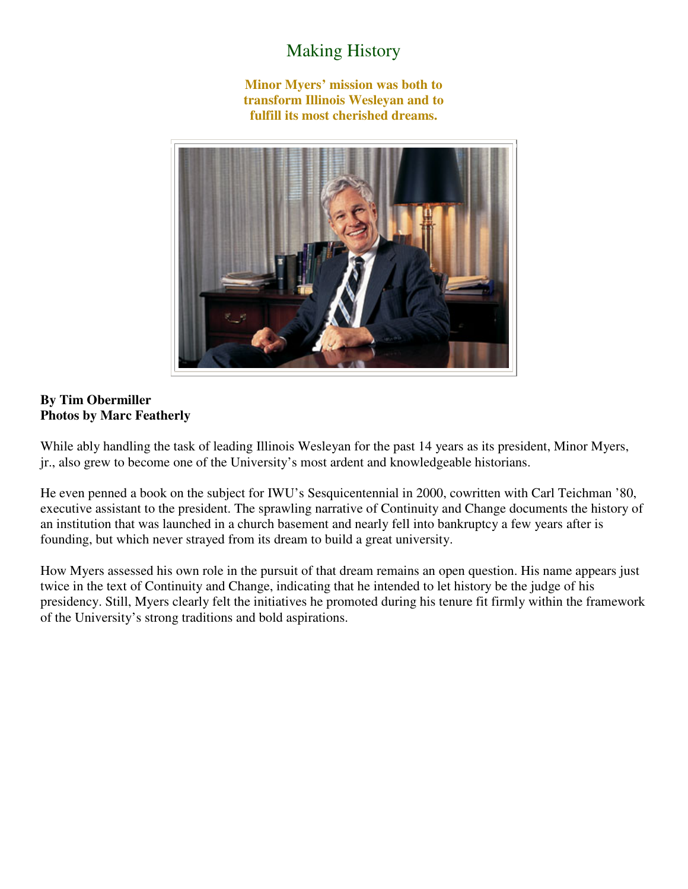### Making History

**Minor Myers' mission was both to transform Illinois Wesleyan and to fulfill its most cherished dreams.** 



#### **By Tim Obermiller Photos by Marc Featherly**

While ably handling the task of leading Illinois Wesleyan for the past 14 years as its president, Minor Myers, jr., also grew to become one of the University's most ardent and knowledgeable historians.

He even penned a book on the subject for IWU's Sesquicentennial in 2000, cowritten with Carl Teichman '80, executive assistant to the president. The sprawling narrative of Continuity and Change documents the history of an institution that was launched in a church basement and nearly fell into bankruptcy a few years after is founding, but which never strayed from its dream to build a great university.

How Myers assessed his own role in the pursuit of that dream remains an open question. His name appears just twice in the text of Continuity and Change, indicating that he intended to let history be the judge of his presidency. Still, Myers clearly felt the initiatives he promoted during his tenure fit firmly within the framework of the University's strong traditions and bold aspirations.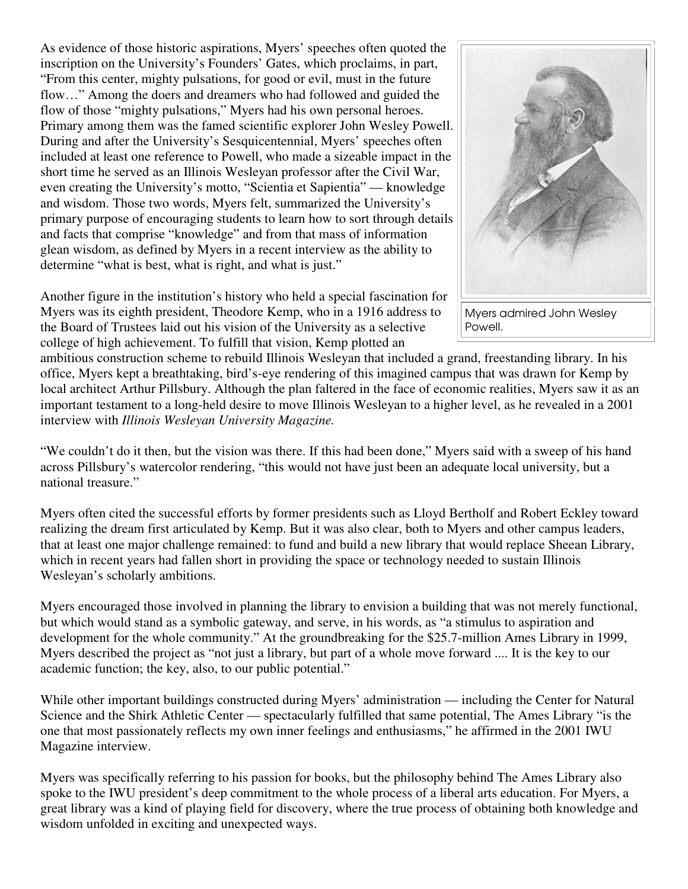As evidence of those historic aspirations, Myers' speeches often quoted the inscription on the University's Founders' Gates, which proclaims, in part, "From this center, mighty pulsations, for good or evil, must in the future flow..." Among the doers and dreamers who had followed and guided the flow of those "mighty pulsations," Myers had his own personal heroes. Primary among them was the famed scientific explorer John Wesley Powell. During and after the University's Sesquicentennial, Myers' speeches often included at least one reference to Powell, who made a sizeable impact in the short time he served as an Illinois Wesleyan professor after the Civil War, even creating the University's motto, "Scientia et Sapientia" — knowledge and wisdom. Those two words, Myers felt, summarized the University's primary purpose of encouraging students to learn how to sort through details and facts that comprise "knowledge" and from that mass of information glean wisdom, as defined by Myers in a recent interview as the ability to determine "what is best, what is right, and what is just."

Another figure in the institution's history who held a special fascination for Myers was its eighth president, Theodore Kemp, who in a 1916 address to the Board of Trustees laid out his vision of the University as a selective college of high achievement. To fulfill that vision, Kemp plotted an



Myers admired John Wesley Powell.

ambitious construction scheme to rebuild Illinois Wesleyan that included a grand, freestanding library. In his office, Myers kept a breathtaking, bird's-eye rendering of this imagined campus that was drawn for Kemp by local architect Arthur Pillsbury. Although the plan faltered in the face of economic realities, Myers saw it as an important testament to a long-held desire to move Illinois Wesleyan to a higher level, as he revealed in a 2001 interview with *Illinois Wesleyan University Magazine.*

"We couldn't do it then, but the vision was there. If this had been done," Myers said with a sweep of his hand across Pillsbury's watercolor rendering, "this would not have just been an adequate local university, but a national treasure."

Myers often cited the successful efforts by former presidents such as Lloyd Bertholf and Robert Eckley toward realizing the dream first articulated by Kemp. But it was also clear, both to Myers and other campus leaders, that at least one major challenge remained: to fund and build a new library that would replace Sheean Library, which in recent years had fallen short in providing the space or technology needed to sustain Illinois Wesleyan's scholarly ambitions.

Myers encouraged those involved in planning the library to envision a building that was not merely functional, but which would stand as a symbolic gateway, and serve, in his words, as "a stimulus to aspiration and development for the whole community." At the groundbreaking for the \$25.7-million Ames Library in 1999, Myers described the project as "not just a library, but part of a whole move forward .... It is the key to our academic function; the key, also, to our public potential."

While other important buildings constructed during Myers' administration — including the Center for Natural Science and the Shirk Athletic Center — spectacularly fulfilled that same potential, The Ames Library "is the one that most passionately reflects my own inner feelings and enthusiasms," he affirmed in the 2001 IWU Magazine interview.

Myers was specifically referring to his passion for books, but the philosophy behind The Ames Library also spoke to the IWU president's deep commitment to the whole process of a liberal arts education. For Myers, a great library was a kind of playing field for discovery, where the true process of obtaining both knowledge and wisdom unfolded in exciting and unexpected ways.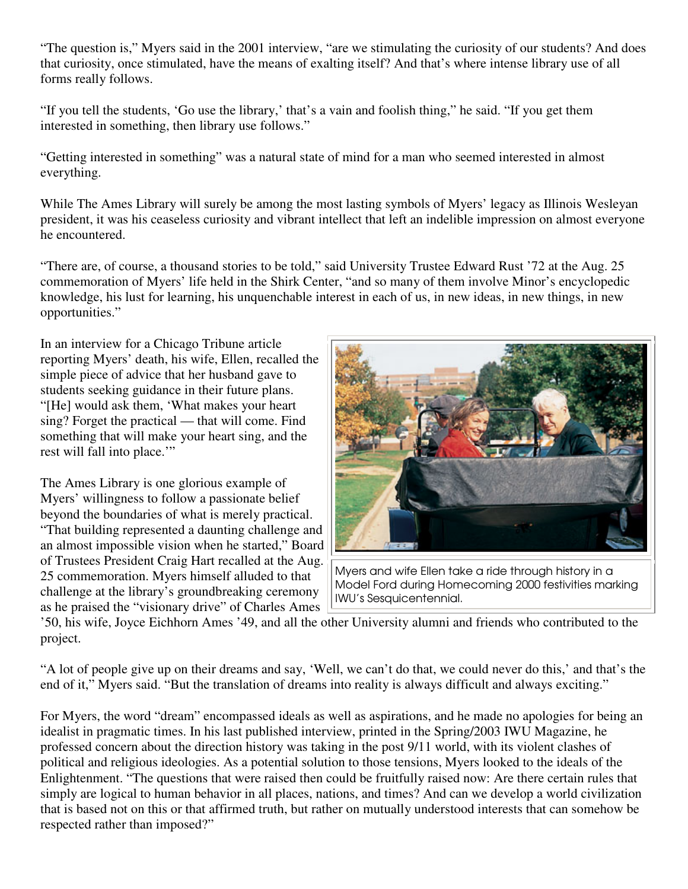"The question is," Myers said in the 2001 interview, "are we stimulating the curiosity of our students? And does that curiosity, once stimulated, have the means of exalting itself? And that's where intense library use of all forms really follows.

"If you tell the students, 'Go use the library,' that's a vain and foolish thing," he said. "If you get them interested in something, then library use follows."

"Getting interested in something" was a natural state of mind for a man who seemed interested in almost everything.

While The Ames Library will surely be among the most lasting symbols of Myers' legacy as Illinois Wesleyan president, it was his ceaseless curiosity and vibrant intellect that left an indelible impression on almost everyone he encountered.

"There are, of course, a thousand stories to be told," said University Trustee Edward Rust '72 at the Aug. 25 commemoration of Myers' life held in the Shirk Center, "and so many of them involve Minor's encyclopedic knowledge, his lust for learning, his unquenchable interest in each of us, in new ideas, in new things, in new opportunities."

In an interview for a Chicago Tribune article reporting Myers' death, his wife, Ellen, recalled the simple piece of advice that her husband gave to students seeking guidance in their future plans. "[He] would ask them, 'What makes your heart sing? Forget the practical — that will come. Find something that will make your heart sing, and the rest will fall into place.'"

The Ames Library is one glorious example of Myers' willingness to follow a passionate belief beyond the boundaries of what is merely practical. "That building represented a daunting challenge and an almost impossible vision when he started," Board of Trustees President Craig Hart recalled at the Aug. 25 commemoration. Myers himself alluded to that challenge at the library's groundbreaking ceremony as he praised the "visionary drive" of Charles Ames



Myers and wife Ellen take a ride through history in a Model Ford during Homecoming 2000 festivities marking IWU's Sesquicentennial.

'50, his wife, Joyce Eichhorn Ames '49, and all the other University alumni and friends who contributed to the project.

"A lot of people give up on their dreams and say, 'Well, we can't do that, we could never do this,' and that's the end of it," Myers said. "But the translation of dreams into reality is always difficult and always exciting."

For Myers, the word "dream" encompassed ideals as well as aspirations, and he made no apologies for being an idealist in pragmatic times. In his last published interview, printed in the Spring/2003 IWU Magazine, he professed concern about the direction history was taking in the post 9/11 world, with its violent clashes of political and religious ideologies. As a potential solution to those tensions, Myers looked to the ideals of the Enlightenment. "The questions that were raised then could be fruitfully raised now: Are there certain rules that simply are logical to human behavior in all places, nations, and times? And can we develop a world civilization that is based not on this or that affirmed truth, but rather on mutually understood interests that can somehow be respected rather than imposed?"